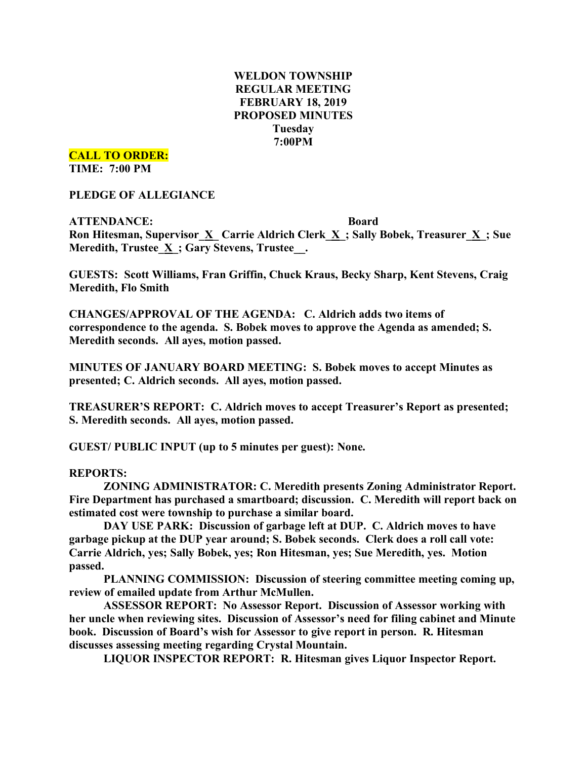# **WELDON TOWNSHIP REGULAR MEETING FEBRUARY 18, 2019 PROPOSED MINUTES Tuesday 7:00PM**

**CALL TO ORDER:**

**TIME: 7:00 PM**

**PLEDGE OF ALLEGIANCE**

**ATTENDANCE: Board Ron Hitesman, Supervisor\_X\_ Carrie Aldrich Clerk\_X\_; Sally Bobek, Treasurer\_X\_; Sue Meredith, Trustee\_X\_; Gary Stevens, Trustee\_\_.**

**GUESTS: Scott Williams, Fran Griffin, Chuck Kraus, Becky Sharp, Kent Stevens, Craig Meredith, Flo Smith**

**CHANGES/APPROVAL OF THE AGENDA: C. Aldrich adds two items of correspondence to the agenda. S. Bobek moves to approve the Agenda as amended; S. Meredith seconds. All ayes, motion passed.**

**MINUTES OF JANUARY BOARD MEETING: S. Bobek moves to accept Minutes as presented; C. Aldrich seconds. All ayes, motion passed.**

**TREASURER'S REPORT: C. Aldrich moves to accept Treasurer's Report as presented; S. Meredith seconds. All ayes, motion passed.**

**GUEST/ PUBLIC INPUT (up to 5 minutes per guest): None.**

## **REPORTS:**

**ZONING ADMINISTRATOR: C. Meredith presents Zoning Administrator Report. Fire Department has purchased a smartboard; discussion. C. Meredith will report back on estimated cost were township to purchase a similar board.**

**DAY USE PARK: Discussion of garbage left at DUP. C. Aldrich moves to have garbage pickup at the DUP year around; S. Bobek seconds. Clerk does a roll call vote: Carrie Aldrich, yes; Sally Bobek, yes; Ron Hitesman, yes; Sue Meredith, yes. Motion passed.**

**PLANNING COMMISSION: Discussion of steering committee meeting coming up, review of emailed update from Arthur McMullen.**

**ASSESSOR REPORT: No Assessor Report. Discussion of Assessor working with her uncle when reviewing sites. Discussion of Assessor's need for filing cabinet and Minute book. Discussion of Board's wish for Assessor to give report in person. R. Hitesman discusses assessing meeting regarding Crystal Mountain.**

**LIQUOR INSPECTOR REPORT: R. Hitesman gives Liquor Inspector Report.**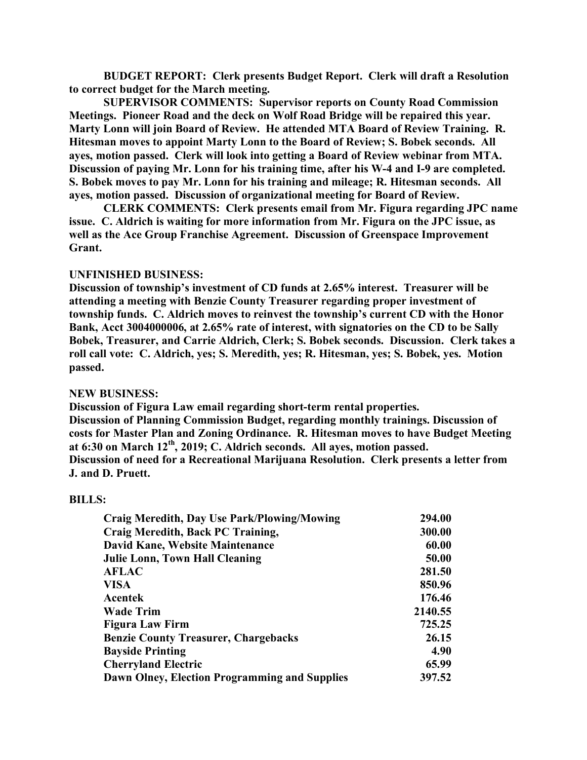**BUDGET REPORT: Clerk presents Budget Report. Clerk will draft a Resolution to correct budget for the March meeting.**

**SUPERVISOR COMMENTS: Supervisor reports on County Road Commission Meetings. Pioneer Road and the deck on Wolf Road Bridge will be repaired this year. Marty Lonn will join Board of Review. He attended MTA Board of Review Training. R. Hitesman moves to appoint Marty Lonn to the Board of Review; S. Bobek seconds. All ayes, motion passed. Clerk will look into getting a Board of Review webinar from MTA. Discussion of paying Mr. Lonn for his training time, after his W-4 and I-9 are completed. S. Bobek moves to pay Mr. Lonn for his training and mileage; R. Hitesman seconds. All ayes, motion passed. Discussion of organizational meeting for Board of Review.**

**CLERK COMMENTS: Clerk presents email from Mr. Figura regarding JPC name issue. C. Aldrich is waiting for more information from Mr. Figura on the JPC issue, as well as the Ace Group Franchise Agreement. Discussion of Greenspace Improvement Grant.**

#### **UNFINISHED BUSINESS:**

**Discussion of township's investment of CD funds at 2.65% interest. Treasurer will be attending a meeting with Benzie County Treasurer regarding proper investment of township funds. C. Aldrich moves to reinvest the township's current CD with the Honor Bank, Acct 3004000006, at 2.65% rate of interest, with signatories on the CD to be Sally Bobek, Treasurer, and Carrie Aldrich, Clerk; S. Bobek seconds. Discussion. Clerk takes a roll call vote: C. Aldrich, yes; S. Meredith, yes; R. Hitesman, yes; S. Bobek, yes. Motion passed.**

#### **NEW BUSINESS:**

**Discussion of Figura Law email regarding short-term rental properties. Discussion of Planning Commission Budget, regarding monthly trainings. Discussion of costs for Master Plan and Zoning Ordinance. R. Hitesman moves to have Budget Meeting at 6:30 on March 12th, 2019; C. Aldrich seconds. All ayes, motion passed. Discussion of need for a Recreational Marijuana Resolution. Clerk presents a letter from J. and D. Pruett.**

#### **BILLS:**

| <b>Craig Meredith, Day Use Park/Plowing/Mowing</b> | 294.00  |
|----------------------------------------------------|---------|
| Craig Meredith, Back PC Training,                  | 300.00  |
| David Kane, Website Maintenance                    | 60.00   |
| <b>Julie Lonn, Town Hall Cleaning</b>              | 50.00   |
| <b>AFLAC</b>                                       | 281.50  |
| <b>VISA</b>                                        | 850.96  |
| <b>Acentek</b>                                     | 176.46  |
| <b>Wade Trim</b>                                   | 2140.55 |
| <b>Figura Law Firm</b>                             | 725.25  |
| <b>Benzie County Treasurer, Chargebacks</b>        | 26.15   |
| <b>Bayside Printing</b>                            | 4.90    |
| <b>Cherryland Electric</b>                         | 65.99   |
| Dawn Olney, Election Programming and Supplies      | 397.52  |